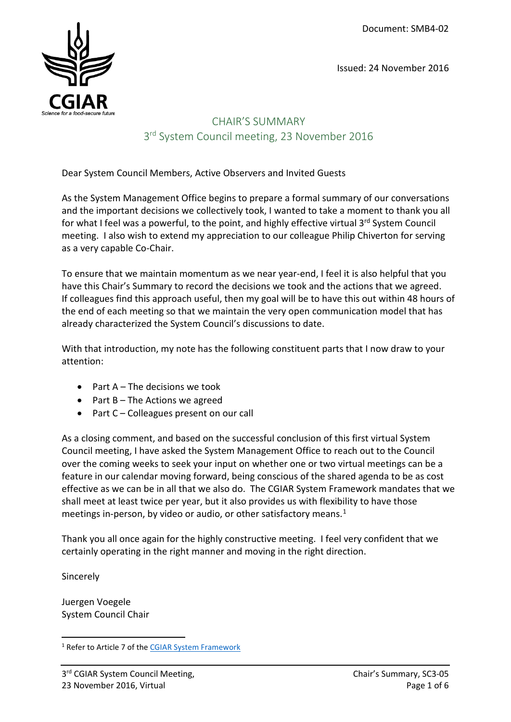Issued: 24 November 2016



# CHAIR'S SUMMARY 3<sup>rd</sup> System Council meeting, 23 November 2016

Dear System Council Members, Active Observers and Invited Guests

As the System Management Office begins to prepare a formal summary of our conversations and the important decisions we collectively took, I wanted to take a moment to thank you all for what I feel was a powerful, to the point, and highly effective virtual 3<sup>rd</sup> System Council meeting. I also wish to extend my appreciation to our colleague Philip Chiverton for serving as a very capable Co-Chair.

To ensure that we maintain momentum as we near year-end, I feel it is also helpful that you have this Chair's Summary to record the decisions we took and the actions that we agreed. If colleagues find this approach useful, then my goal will be to have this out within 48 hours of the end of each meeting so that we maintain the very open communication model that has already characterized the System Council's discussions to date.

With that introduction, my note has the following constituent parts that I now draw to your attention:

- Part  $A$  The decisions we took
- Part B The Actions we agreed
- Part C Colleagues present on our call

As a closing comment, and based on the successful conclusion of this first virtual System Council meeting, I have asked the System Management Office to reach out to the Council over the coming weeks to seek your input on whether one or two virtual meetings can be a feature in our calendar moving forward, being conscious of the shared agenda to be as cost effective as we can be in all that we also do. The CGIAR System Framework mandates that we shall meet at least twice per year, but it also provides us with flexibility to have those meetings in-person, by video or audio, or other satisfactory means.<sup>[1](#page-0-0)</sup>

Thank you all once again for the highly constructive meeting. I feel very confident that we certainly operating in the right manner and moving in the right direction.

**Sincerely** 

Juergen Voegele System Council Chair

<span id="page-0-0"></span><sup>&</sup>lt;sup>1</sup> Refer to Article 7 of the [CGIAR System Framework](http://library.cgiar.org/bitstream/handle/10947/4371/CGIAR%20System%20Framework%20-%20WEB.pdf?sequence=4)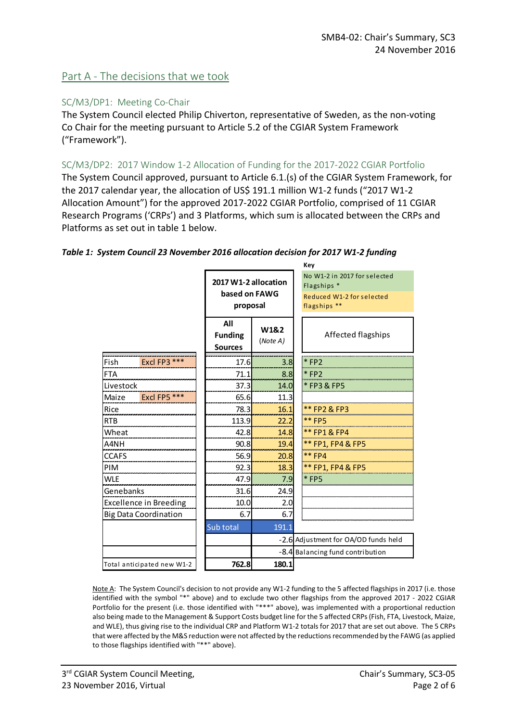# Part A - The decisions that we took

#### SC/M3/DP1: Meeting Co-Chair

The System Council elected Philip Chiverton, representative of Sweden, as the non-voting Co Chair for the meeting pursuant to Article 5.2 of the CGIAR System Framework ("Framework").

#### SC/M3/DP2: 2017 Window 1-2 Allocation of Funding for the 2017-2022 CGIAR Portfolio

The System Council approved, pursuant to Article 6.1.(s) of the CGIAR System Framework, for the 2017 calendar year, the allocation of US\$ 191.1 million W1-2 funds ("2017 W1-2 Allocation Amount") for the approved 2017-2022 CGIAR Portfolio, comprised of 11 CGIAR Research Programs ('CRPs') and 3 Platforms, which sum is allocated between the CRPs and Platforms as set out in table 1 below.

| Key                           |                                                   |                  |                                                                                                     |  |
|-------------------------------|---------------------------------------------------|------------------|-----------------------------------------------------------------------------------------------------|--|
|                               | 2017 W1-2 allocation<br>based on FAWG<br>proposal |                  | No W1-2 in 2017 for selected<br>Flagships <sup>*</sup><br>Reduced W1-2 for selected<br>flagships ** |  |
|                               | All<br><b>Funding</b><br><b>Sources</b>           | W1&2<br>(Note A) | Affected flagships                                                                                  |  |
| Excl FP3 ***<br>Fish          | 17.6                                              | 3.8              | $*$ FP2                                                                                             |  |
| <b>FTA</b>                    | 71.1                                              | 8.8              | $*$ FP2                                                                                             |  |
| Livestock                     | 37.3                                              | 14.0             | *FP3&FP5                                                                                            |  |
| Excl FP5 ***<br>Maize         | 65.6                                              | 11.3             |                                                                                                     |  |
| Rice                          | 78.3                                              | 16.1             | ** FP2 & FP3                                                                                        |  |
| <b>RTB</b>                    | 113.9                                             | 22.2             | <b>** FP5</b>                                                                                       |  |
| Wheat                         | 42.8                                              | 14.8             | ** FP1 & FP4                                                                                        |  |
| A4NH                          | 90.8                                              | 19.4             | ** FP1, FP4 & FP5                                                                                   |  |
| <b>CCAFS</b>                  | 56.9                                              | 20.8             | ** FP4                                                                                              |  |
| PIM                           | 92.3                                              | 18.3             | ** FP1, FP4 & FP5                                                                                   |  |
| <b>WLE</b>                    | 47.9                                              | 7.9              | * FP5                                                                                               |  |
| Genebanks                     | 31.6                                              | 24.9             |                                                                                                     |  |
| <b>Excellence in Breeding</b> | 10.0                                              | 2.0              |                                                                                                     |  |
| <b>Big Data Coordination</b>  | 6.7                                               | 6.7              |                                                                                                     |  |
|                               | Sub total                                         | 191.1            |                                                                                                     |  |
|                               |                                                   |                  | -2.6 Adjustment for OA/OD funds held                                                                |  |
|                               |                                                   |                  | -8.4 Balancing fund contribution                                                                    |  |
| Total anticipated new W1-2    | 762.8                                             | 180.1            |                                                                                                     |  |

#### *Table 1: System Council 23 November 2016 allocation decision for 2017 W1-2 funding*

Note A: The System Council's decision to not provide any W1-2 funding to the 5 affected flagships in 2017 (i.e. those identified with the symbol "\*" above) and to exclude two other flagships from the approved 2017 - 2022 CGIAR Portfolio for the present (i.e. those identified with "\*\*\*" above), was implemented with a proportional reduction also being made to the Management & Support Costs budget line for the 5 affected CRPs (Fish, FTA, Livestock, Maize, and WLE), thus giving rise to the individual CRP and Platform W1-2 totals for 2017 that are set out above. The 5 CRPs that were affected by the M&S reduction were not affected by the reductions recommended by the FAWG (as applied to those flagships identified with "\*\*" above).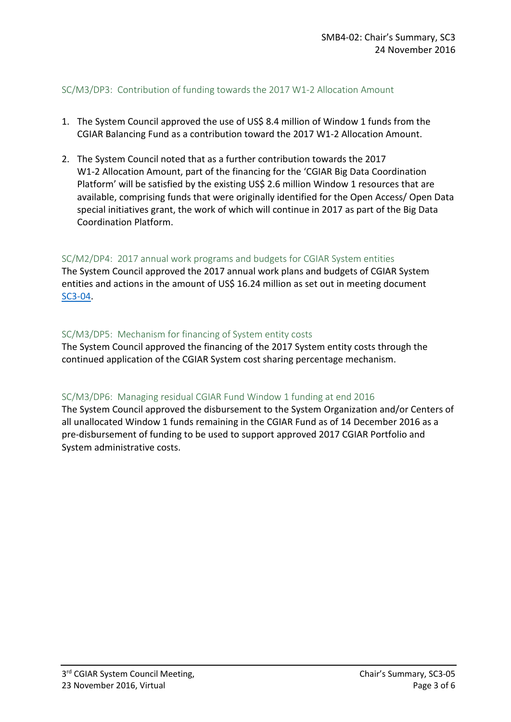#### SC/M3/DP3: Contribution of funding towards the 2017 W1-2 Allocation Amount

- 1. The System Council approved the use of US\$ 8.4 million of Window 1 funds from the CGIAR Balancing Fund as a contribution toward the 2017 W1-2 Allocation Amount.
- 2. The System Council noted that as a further contribution towards the 2017 W1-2 Allocation Amount, part of the financing for the 'CGIAR Big Data Coordination Platform' will be satisfied by the existing US\$ 2.6 million Window 1 resources that are available, comprising funds that were originally identified for the Open Access/ Open Data special initiatives grant, the work of which will continue in 2017 as part of the Big Data Coordination Platform.

#### SC/M2/DP4: 2017 annual work programs and budgets for CGIAR System entities

The System Council approved the 2017 annual work plans and budgets of CGIAR System entities and actions in the amount of US\$ 16.24 million as set out in meeting document [SC3-04.](http://cgiarweb.s3.amazonaws.com/wp-content/uploads/2016/11/SC3-04_2017-FundingSystemEntities_17Nov2016.pdf)

#### SC/M3/DP5: Mechanism for financing of System entity costs

The System Council approved the financing of the 2017 System entity costs through the continued application of the CGIAR System cost sharing percentage mechanism.

#### SC/M3/DP6: Managing residual CGIAR Fund Window 1 funding at end 2016

The System Council approved the disbursement to the System Organization and/or Centers of all unallocated Window 1 funds remaining in the CGIAR Fund as of 14 December 2016 as a pre-disbursement of funding to be used to support approved 2017 CGIAR Portfolio and System administrative costs.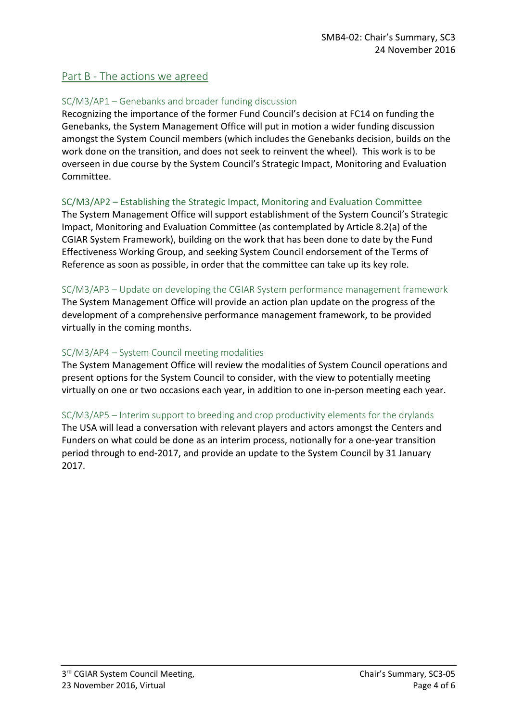# Part B - The actions we agreed

### SC/M3/AP1 – Genebanks and broader funding discussion

Recognizing the importance of the former Fund Council's decision at FC14 on funding the Genebanks, the System Management Office will put in motion a wider funding discussion amongst the System Council members (which includes the Genebanks decision, builds on the work done on the transition, and does not seek to reinvent the wheel). This work is to be overseen in due course by the System Council's Strategic Impact, Monitoring and Evaluation Committee.

#### SC/M3/AP2 – Establishing the Strategic Impact, Monitoring and Evaluation Committee

The System Management Office will support establishment of the System Council's Strategic Impact, Monitoring and Evaluation Committee (as contemplated by Article 8.2(a) of the CGIAR System Framework), building on the work that has been done to date by the Fund Effectiveness Working Group, and seeking System Council endorsement of the Terms of Reference as soon as possible, in order that the committee can take up its key role.

#### SC/M3/AP3 – Update on developing the CGIAR System performance management framework

The System Management Office will provide an action plan update on the progress of the development of a comprehensive performance management framework, to be provided virtually in the coming months.

#### SC/M3/AP4 – System Council meeting modalities

The System Management Office will review the modalities of System Council operations and present options for the System Council to consider, with the view to potentially meeting virtually on one or two occasions each year, in addition to one in-person meeting each year.

#### SC/M3/AP5 – Interim support to breeding and crop productivity elements for the drylands

The USA will lead a conversation with relevant players and actors amongst the Centers and Funders on what could be done as an interim process, notionally for a one-year transition period through to end-2017, and provide an update to the System Council by 31 January 2017.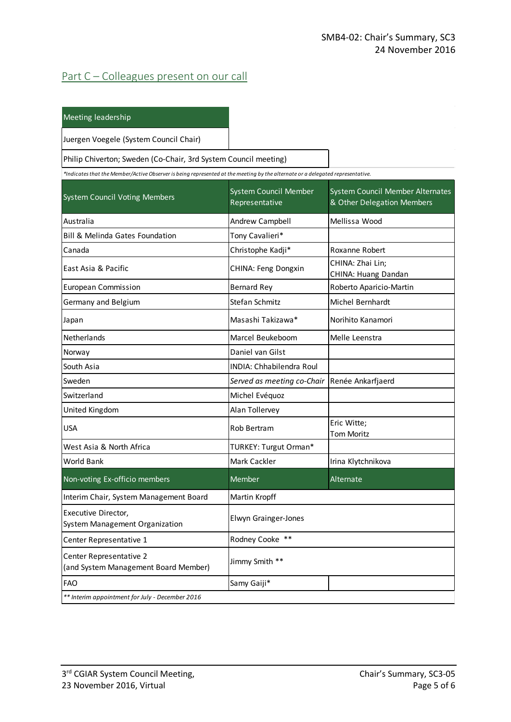# Part C – Colleagues present on our call

| Meeting leadership |
|--------------------|
|                    |

Juergen Voegele (System Council Chair)

Philip Chiverton; Sweden (Co-Chair, 3rd System Council meeting)

*\*Indicates that the Member/Active Observer is being represented at the meeting by the alternate or a delegated representative.*

| <b>System Council Voting Members</b>                            | System Council Member<br>Representative | System Council Member Alternates<br>& Other Delegation Members |  |
|-----------------------------------------------------------------|-----------------------------------------|----------------------------------------------------------------|--|
| Australia                                                       | Andrew Campbell                         | Mellissa Wood                                                  |  |
| Bill & Melinda Gates Foundation                                 | Tony Cavalieri*                         |                                                                |  |
| Canada                                                          | Christophe Kadji*                       | Roxanne Robert                                                 |  |
| East Asia & Pacific                                             | CHINA: Feng Dongxin                     | CHINA: Zhai Lin;<br>CHINA: Huang Dandan                        |  |
| <b>European Commission</b>                                      | <b>Bernard Rey</b>                      | Roberto Aparicio-Martin                                        |  |
| Germany and Belgium                                             | Stefan Schmitz                          | Michel Bernhardt                                               |  |
| Japan                                                           | Masashi Takizawa*                       | Norihito Kanamori                                              |  |
| Netherlands                                                     | Marcel Beukeboom                        | Melle Leenstra                                                 |  |
| Norway                                                          | Daniel van Gilst                        |                                                                |  |
| South Asia                                                      | <b>INDIA: Chhabilendra Roul</b>         |                                                                |  |
| Sweden                                                          | Served as meeting co-Chair              | Renée Ankarfjaerd                                              |  |
| Switzerland                                                     | Michel Evéquoz                          |                                                                |  |
| United Kingdom                                                  | Alan Tollervey                          |                                                                |  |
| <b>USA</b>                                                      | <b>Rob Bertram</b>                      | Eric Witte;<br><b>Tom Moritz</b>                               |  |
| West Asia & North Africa                                        | TURKEY: Turgut Orman*                   |                                                                |  |
| <b>World Bank</b>                                               | Mark Cackler                            | Irina Klytchnikova                                             |  |
| Non-voting Ex-officio members                                   | Member                                  | Alternate                                                      |  |
| Interim Chair, System Management Board                          | Martin Kropff                           |                                                                |  |
| Executive Director,<br>System Management Organization           | <b>Elwyn Grainger-Jones</b>             |                                                                |  |
| Center Representative 1                                         | Rodney Cooke **                         |                                                                |  |
| Center Representative 2<br>(and System Management Board Member) | Jimmy Smith **                          |                                                                |  |
| FAO                                                             | Samy Gaiji*                             |                                                                |  |
| ** Interim appointment for July - December 2016                 |                                         |                                                                |  |